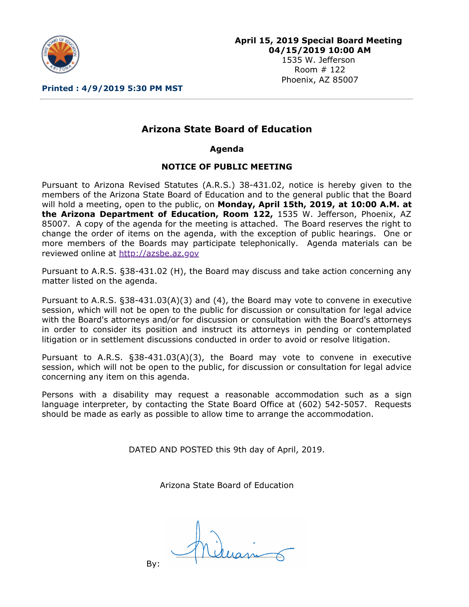

1535 W. Jefferson Room # 122 Phoenix, AZ 85007

**Printed : 4/9/2019 5:30 PM MST**

## **Arizona State Board of Education**

**Agenda**

## **NOTICE OF PUBLIC MEETING**

Pursuant to Arizona Revised Statutes (A.R.S.) 38-431.02, notice is hereby given to the members of the Arizona State Board of Education and to the general public that the Board will hold a meeting, open to the public, on **Monday, April 15th, 2019, at 10:00 A.M. at the Arizona Department of Education, Room 122,** 1535 W. Jefferson, Phoenix, AZ 85007. A copy of the agenda for the meeting is attached. The Board reserves the right to change the order of items on the agenda, with the exception of public hearings. One or more members of the Boards may participate telephonically. Agenda materials can be reviewed online at [http://azsbe.az.gov](http://azsbe.az.gov/)

Pursuant to A.R.S. §38-431.02 (H), the Board may discuss and take action concerning any matter listed on the agenda.

Pursuant to A.R.S. §38-431.03(A)(3) and (4), the Board may vote to convene in executive session, which will not be open to the public for discussion or consultation for legal advice with the Board's attorneys and/or for discussion or consultation with the Board's attorneys in order to consider its position and instruct its attorneys in pending or contemplated litigation or in settlement discussions conducted in order to avoid or resolve litigation.

Pursuant to A.R.S. §38-431.03(A)(3), the Board may vote to convene in executive session, which will not be open to the public, for discussion or consultation for legal advice concerning any item on this agenda.

Persons with a disability may request a reasonable accommodation such as a sign language interpreter, by contacting the State Board Office at (602) 542-5057. Requests should be made as early as possible to allow time to arrange the accommodation.

DATED AND POSTED this 9th day of April, 2019.

Arizona State Board of Education

By: